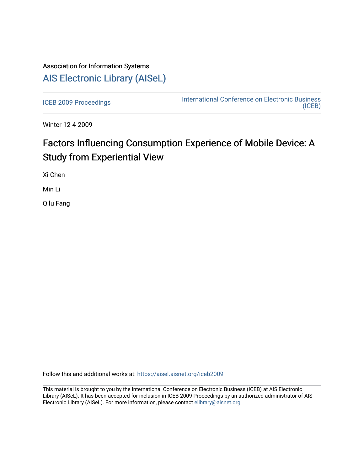## Association for Information Systems [AIS Electronic Library \(AISeL\)](https://aisel.aisnet.org/)

[ICEB 2009 Proceedings](https://aisel.aisnet.org/iceb2009) **International Conference on Electronic Business** [\(ICEB\)](https://aisel.aisnet.org/iceb) 

Winter 12-4-2009

# Factors Influencing Consumption Experience of Mobile Device: A Study from Experiential View

Xi Chen

Min Li

Qilu Fang

Follow this and additional works at: [https://aisel.aisnet.org/iceb2009](https://aisel.aisnet.org/iceb2009?utm_source=aisel.aisnet.org%2Ficeb2009%2F120&utm_medium=PDF&utm_campaign=PDFCoverPages)

This material is brought to you by the International Conference on Electronic Business (ICEB) at AIS Electronic Library (AISeL). It has been accepted for inclusion in ICEB 2009 Proceedings by an authorized administrator of AIS Electronic Library (AISeL). For more information, please contact [elibrary@aisnet.org.](mailto:elibrary@aisnet.org%3E)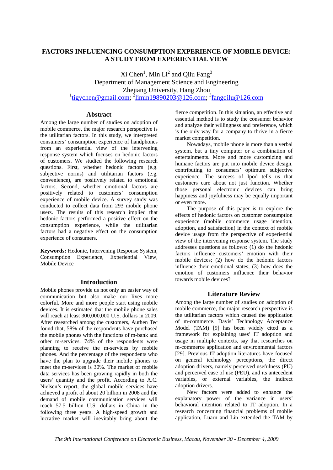## **FACTORS INFLUENCING CONSUMPTION EXPERIENCE OF MOBILE DEVICE: A STUDY FROM EXPERIENTIAL VIEW**

Xi Chen<sup>1</sup>, Min Li<sup>2</sup> and Qilu Fang<sup>3</sup> Department of Management Science and Engineering Zhejiang University, Hang Zhou  $\frac{1}{1}$ tigychen@gmail.com;  $\frac{2}{1}$ limin19890203@126.com;  $\frac{3}{1}$ fangqilu@126.com

## **Abstract**

Among the large number of studies on adoption of mobile commerce, the major research perspective is the utilitarian factors. In this study, we interpreted consumers' consumption experience of handphones from an experiential view of the intervening response system which focuses on hedonic factors of customers. We studied the following research questions. First, whether hedonic factors (e.g. subjective norms) and utilitarian factors (e.g. convenience), are positively related to emotional factors. Second, whether emotional factors are positively related to customers' consumption experience of mobile device. A survey study was conducted to collect data from 293 mobile phone users. The results of this research implied that hedonic factors performed a positive effect on the consumption experience, while the utilitarian factors had a negative effect on the consumption experience of consumers.

**Keywords:** Hedonic, Intervening Response System, Consumption Experience, Experiential View, Mobile Device

## **Introduction**

Mobile phones provide us not only an easier way of communication but also make our lives more colorful. More and more people start using mobile devices. It is estimated that the mobile phone sales will reach at least 300,000,000 U.S. dollars in 2009. After researched among the customers, Authen Tec found that, 58% of the respondents have purchased the mobile phones with the functions of m-bank and other m-services. 74% of the respondents were planning to receive the m-services by mobile phones. And the percentage of the respondents who have the plan to upgrade their mobile phones to meet the m-services is 30%. The market of mobile data services has been growing rapidly in both the users' quantity and the profit. According to A.C. Nielsen's report, the global mobile services have achieved a profit of about 20 billion in 2008 and the demand of mobile communication services will reach 57.5 billion U.S. dollars in China in the following three years. A high-speed growth and lucrative market will inevitably bring about the

fierce competition. In this situation, an effective and essential method is to study the consumer behavior and analyze their willingness and preference, which is the only way for a company to thrive in a fierce market competition.

Nowadays, mobile phone is more than a verbal system, but a tiny computer or a combination of entertainments. More and more customizing and humane factors are put into mobile device design, contributing to consumers' optimum subjective experience. The success of Ipod tells us that customers care about not just function. Whether those personal electronic devices can bring happiness and joyfulness may be equally important or even more.

The purpose of this paper is to explore the effects of hedonic factors on customer consumption experience (mobile commerce usage intention, adoption, and satisfaction) in the context of mobile device usage from the perspective of experiential view of the intervening response system. The study addresses questions as follows: (1) do the hedonic factors influence customers' emotion with their mobile devices; (2) how do the hedonic factors influence their emotional states; (3) how does the emotion of customers influence their behavior towards mobile devices?

## **Literature Review**

Among the large number of studies on adoption of mobile commerce, the major research perspective is the utilitarian factors which caused the application of m-commerce. Davis' Technology Acceptance Model (TAM) [9] has been widely cited as a framework for explaining uses' IT adoption and usage in multiple contexts, say that researches on m-commerce application and environmental factors [29]. Previous IT adoption literatures have focused on general technology perceptions, the direct adoption drivers, namely perceived usefulness (PU) and perceived ease of use (PEU), and its antecedent variables, or external variables, the indirect adoption drivers.

New factors were added to enhance the explanatory power of the variance in users' behavioral intention related to IT adoption. In a research concerning financial problems of mobile application, Luarn and Lin extended the TAM by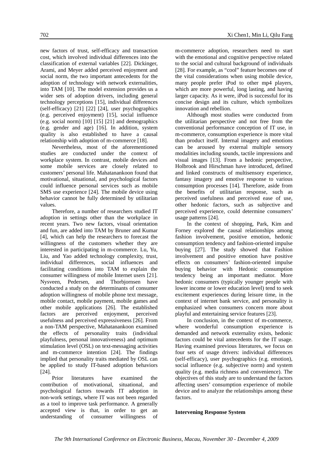new factors of trust, self-efficacy and transaction cost, which involved individual differences into the classification of external variables [22]. Dickinger, Arami, and Meyer added perceived enjoyment and social norm, the two important antecedents for the adoption of technology with network externalities, into TAM [10]. The model extension provides us a wider sets of adoption drivers, including general technology perceptions [15], individual differences (self-efficacy) [21] [22] [24], user psychographics (e.g. perceived enjoyment) [15], social influence (e.g. social norm)  $\begin{bmatrix} 10 \\ 15 \\ 21 \end{bmatrix}$  and demographics (e.g. gender and age) [16]. In addition, system quality is also established to have a causal relationship with adoption of m-commerce [18].

Nevertheless, most of the aforementioned studies are conducted under the context of workplace system. In contrast, mobile devices and some mobile services are closely related to customers' personal life. Mahatanankoon found that motivational, situational, and psychological factors could influence personal services such as mobile SMS use experience [24]. The mobile device using behavior cannot be fully determined by utilitarian values.

Therefore, a number of researchers studied IT adoption in settings other than the workplace in recent years. Two new factors, visual orientation and fun, are added into TAM by Bruner and Kumar [4], which can help the researchers to forecast the willingness of the customers whether they are interested in participating in m-commerce. Lu, Yu, Liu, and Yao added technology complexity, trust, individual differences, social influences and facilitating conditions into TAM to explain the consumer willingness of mobile Internet users [21]. Nysveen, Pedersen, and Thorbjornsen have conducted a study on the determinants of consumer adoption willingness of mobile phone text message, mobile contact, mobile payment, mobile games and other mobile applications [26]. The established factors are perceived enjoyment, perceived usefulness and perceived expressiveness [26]. From a non-TAM perspective, Mahatanankoon examined the effects of personality traits (individual playfulness, personal innovativeness) and optimum stimulation level (OSL) on text-messaging activities and m-commerce intention [24]. The findings implied that personality traits mediated by OSL can be applied to study IT-based adoption behaviors [24].

Prior literatures have examined the contribution of motivational, situational, and psychological factors towards IT adoption in non-work settings, where IT was not been regarded as a tool to improve task performance. A generally accepted view is that, in order to get an understanding of consumer willingness of

m-commerce adoption, researchers need to start with the emotional and cognitive perspective related to the social and cultural background of individuals [28]. For example, as "cool" feature becomes one of the vital considerations when using mobile device, many people prefer iPod to other mp4 players, which are more powerful, long lasting, and having larger capacity. As it were, iPod is successful for its concise design and its culture, which symbolizes innovation and rebellion.

Although most studies were conducted from the utilitarian perspective and not free from the conventional performance conception of IT use, in m-commerce, consumption experience is more vital than product itself. Internal imagery and emotions can be aroused by external multiple sensory modalities including sounds, tactile impressions and visual images [13]. From a hedonic perspective, Holbrook and Hirschman have introduced, defined and linked constructs of multisensory experience, fantasy imagery and emotive response to various consumption processes [14]. Therefore, aside from the benefits of utilitarian response, such as perceived usefulness and perceived ease of use, other hedonic factors, such as subjective and perceived experience, could determine consumers' usage patterns [24].

In the context of shopping, Park, Kim and Forney explored the causal relationships among fashion involvement, positive emotion, hedonic consumption tendency and fashion-oriented impulse buying [27]. The study showed that Fashion involvement and positive emotion have positive effects on consumers' fashion-oriented impulse buying behavior with Hedonic consumption tendency being an important mediator. More hedonic consumers (typically younger people with lower income or lower education level) tend to seek excitement experiences during leisure time, in the context of internet bank service, and personality is emphasized when consumers concern more about playful and entertaining service features [23].

In conclusion, in the context of m-commerce, where wonderful consumption experience is demanded and network externality exists, hedonic factors could be vital antecedents for the IT usage. Having examined previous literatures, we focus on four sets of usage drivers: individual differences (self-efficacy), user psychographics (e.g. emotion), social influence (e.g. subjective norm) and system quality (e.g. media richness and convenience). The objectives of this study are to understand the factors affecting users' consumption experience of mobile device and to analyze the relationships among these factors.

## **Intervening Response System**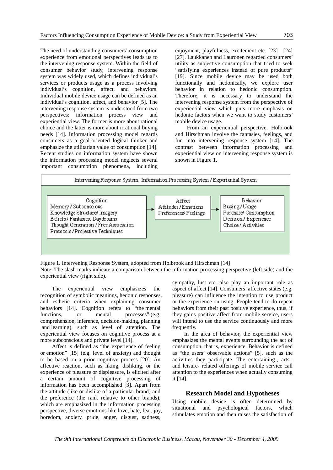The need of understanding consumers' consumption experience from emotional perspectives leads us to the intervening response system. Within the field of consumer behavior study, intervening response system was widely used, which defines individual's services or products usage as a process involving individual's cognition, affect, and behaviors. Individual mobile device usage can be defined as an individual's cognition, affect, and behavior [5]. The intervening response system is understood from two perspectives: information process view and experiential view. The former is more about rational choice and the latter is more about irrational buying needs [14]. Information processing model regards consumers as a goal-oriented logical thinker and emphasize the utilitarian value of consumption [14]. Recent studies on information system have shown the information processing model neglects several important consumption phenomena, including

enjoyment, playfulness, excitement etc. [23] [24] [27]. Laukkanen and Lauronen regarded consumers' utility as subjective consumption that tried to seek "satisfying experiences instead of pure products" [19]. Since mobile device may be used both functionally and hedonically, we explore user behavior in relation to hedonic consumption. Therefore, it is necessary to understand the intervening response system from the perspective of experiential view which puts more emphasis on hedonic factors when we want to study customers' mobile device usage.

From an experiential perspective, Holbrook and Hirschman involve the fantasies, feelings, and fun into intervening response system [14]. The contrast between information processing and experiential view on intervening response system is shown in Figure 1.



Figure 1. Intervening Response System, adopted from Holbrook and Hirschman [14] Note: The slash marks indicate a comparison between the information processing perspective (left side) and the experiential view (right side).

The experiential view emphasizes the recognition of symbolic meanings, hedonic responses, and esthetic criteria when explaining consumer behaviors [14]. Cognition refers to "the mental functions, or mental processes" (e.g. comprehension, inference, decision-making, planning and learning), such as level of attention. The experiential view focuses on cognitive process at a more subconscious and private level [14].

Affect is defined as "the experience of feeling or emotion" [15] (e.g. level of anxiety) and thought to be based on a prior cognitive process [20]. An affective reaction, such as liking, disliking, or the experience of pleasure or displeasure, is elicited after a certain amount of cognitive processing of information has been accomplished [3]. Apart from the attitude (like or dislike of a particular brand) and the preference (the rank relative to other brands), which are emphasized in the information processing perspective, diverse emotions like love, hate, fear, joy, boredom, anxiety, pride, anger, disgust, sadness,

sympathy, lust etc. also play an important role as aspect of affect [14]. Consumers' affective states (e.g. pleasure) can influence the intention to use product or the experience on using. People tend to do repeat behaviors from their past positive experience, thus, if they gains positive affect from mobile service, users will intend to use the service continuously and more frequently.

In the area of behavior, the experiential view emphasizes the mental events surrounding the act of consumption, that is, experience. Behavior is defined as "the users' observable actions" [5], such as the activities they participate. The entertaining-, arts-, and leisure- related offerings of mobile service call attention to the experiences when actually consuming it [14].

## **Research Model and Hypotheses**

Using mobile device is often determined by situational and psychological factors, which stimulates emotion and then raises the satisfaction of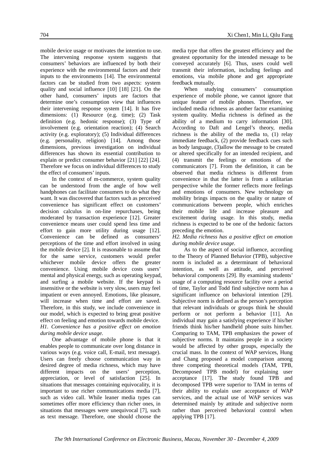mobile device usage or motivates the intention to use. The intervening response system suggests that consumers' behaviors are influenced by both their experience with the environmental factors and their inputs to the environments [14]. The environmental factors can be studied from two aspects: system quality and social influence [10] [18] [21]. On the other hand, consumers' inputs are factors that determine one's consumption view that influences their intervening response system [14]. It has five dimensions: (1) Resource (e.g. time); (2) Task definition (e.g. hedonic response); (3) Type of involvement (e.g. orientation reaction); (4) Search activity (e.g. exploratory); (5) Individual differences (e.g. personality, religion) [14]. Among those dimensions, previous investigation on individual differences has shown its essential contribution to explain or predict consumer behavior [21] [22] [24]. Therefore we focus on individual differences to study the effect of consumers' inputs.

In the context of m-commerce, system quality can be understood from the angle of how well handphones can facilitate consumers to do what they want. It was discovered that factors such as perceived convenience has significant effect on customers' decision calculus in on-line repurchases, being moderated by transaction experience [12]. Greater convenience means user could spend less time and effort to gain more utility during usage [12]. Convenience can be defined as consumers' perceptions of the time and effort involved in using the mobile device [2]. It is reasonable to assume that for the same service, customers would prefer whichever mobile device offers the greater convenience. Using mobile device costs users' mental and physical energy, such as operating keypad, and surfing a mobile website. If the keypad is insensitive or the website is very slow, users may feel impatient or even annoyed. Emotions, like pleasure, will increase when time and effort are saved. Therefore, in this study, we include convenience in our model, which is expected to bring great positive effect on feeling and emotion towards mobile device. *H1. Convenience has a positive effect on emotion during mobile device usage.* 

One advantage of mobile phone is that it enables people to communicate over long distance in various ways (e.g. voice call, E-mail, text message). Users can freely choose communication way in desired degree of media richness, which may have different impacts on the users' perception, appreciation, or level of satisfaction [25]. In situations that messages containing equivocality, it is important to use richer communications media [7], such as video call. While leaner media types can sometimes offer more efficiency than richer ones, in situations that messages were unequivocal [7], such as text message. Therefore, one should choose the

media type that offers the greatest efficiency and the greatest opportunity for the intended message to be conveyed accurately [6]. Thus, users could well transmit their information, including feelings and emotions, via mobile phone and get appropriate feedback mutually.

When studying consumers' consumption experience of mobile phone, we cannot ignore that unique feature of mobile phones. Therefore, we included media richness as another factor examining system quality. Media richness is defined as the ability of a medium to carry information [30]. According to Daft and Lengel's theory, media richness is the ability of the media to, (1) relay immediate feedback, (2) provide feedback cues such as body language, (3)allow the message to be created or altered specifically for an intended recipient, and (4) transmit the feelings or emotions of the communicators [7]. From the definition, it can be observed that media richness is different from convenience in that the latter is from a utilitarian perspective while the former reflects more feelings and emotions of consumers. New technology on mobility brings impacts on the quality or nature of communications between people, which enriches their mobile life and increase pleasure and excitement during usage. In this study, media richness is expected to be one of the hedonic factors preceding the emotion.

## *H2. Media richness has a positive effect on emotion during mobile device usage.*

As to the aspect of social influence, according to the Theory of Planned Behavior (TPB), subjective norm is included as a determinant of behavioral intention, as well as attitude, and perceived behavioral components [29]. By examining students' usage of a computing resource facility over a period of time, Taylor and Todd find subjective norm has a significant influence on behavioral intention [29]. Subjective norm is defined as the person's perception that relevant individuals or groups think he should perform or not perform a behavior [11]. An individual may gain a satisfying experience if his/her friends think his/her handheld phone suits him/her. Comparing to TAM, TPB emphasizes the power of subjective norms. It maintains people in a society would be affected by other groups, especially the crucial mass. In the context of WAP services, Hung and Chang proposed a model comparison among three competing theoretical models (TAM, TPB, Decomposed TPB model) for explaining user acceptance [17]. The study found TPB and decomposed TPB were superior to TAM in terms of their ability to explain user acceptance of WAP services, and the actual use of WAP services was determined mainly by attitude and subjective norm rather than perceived behavioral control when applying TPB [17].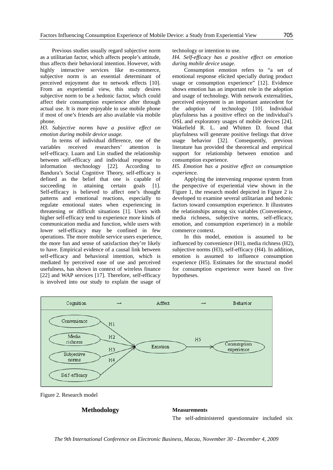Previous studies usually regard subjective norm as a utilitarian factor, which affects people's attitude, thus affects their behavioral intention. However, with highly interactive services like m-commerce, subjective norm is an essential determinant of perceived enjoyment due to network effects [10]. From an experiential view, this study desires subjective norm to be a hedonic factor, which could affect their consumption experience after through actual use. It is more enjoyable to use mobile phone if most of one's friends are also available via mobile phone.

## *H3. Subjective norms have a positive effect on emotion during mobile device usage.*

In terms of individual difference, one of the variables received researchers' attention is self-efficacy. Luarn and Lin studied the relationship between self-efficacy and individual response to information stechnology [22]. According to Bandura's Social Cognitive Theory, self-efficacy is defined as the belief that one is capable of succeeding in attaining certain goals [1]. Self-efficacy is believed to affect one's thought patterns and emotional reactions, especially to regulate emotional states when experiencing in threatening or difficult situations [1]. Users with higher self-efficacy tend to experience more kinds of communication media and function, while users with lower self-efficacy may be confined in few operations. The more mobile service users experience, the more fun and sense of satisfaction they're likely to have. Empirical evidence of a causal link between self-efficacy and behavioral intention, which is mediated by perceived ease of use and perceived usefulness, has shown in context of wireless finance [22] and WAP services [17]. Therefore, self-efficacy is involved into our study to explain the usage of

## technology or intention to use.

*H4. Self-efficacy has a positive effect on emotion during mobile device usage.* 

Consumption emotion refers to "a set of emotional response elicited specially during product usage or consumption experience" [12]. Evidence shows emotion has an important role in the adoption and usage of technology. With network externalities, perceived enjoyment is an important antecedent for the adoption of technology [10]. Individual playfulness has a positive effect on the individual's OSL and exploratory usages of mobile devices [24]. Wakefield R. L. and Whitten D. found that playfulness will generate positive feelings that drive usage behavior [32]. Consequently, previous literature has provided the theoretical and empirical support for relationship between emotion and consumption experience.

### *H5. Emotion has a positive effect on consumption experience.*

Applying the intervening response system from the perspective of experiential view shown in the Figure 1, the research model depicted in Figure 2 is developed to examine several utilitarian and hedonic factors toward consumption experience. It illustrates the relationships among six variables (Convenience, media richness, subjective norms, self-efficacy, emotion, and consumption experience) in a mobile commerce context.

In this model, emotion is assumed to be influenced by convenience (H1), media richness (H2), subjective norms (H3), self-efficacy (H4). In addition, emotion is assumed to influence consumption experience (H5). Estimates for the structural model for consumption experience were based on five hypotheses.



Figure 2. Research model

## **Methodology Measurements**

The self-administered questionnaire included six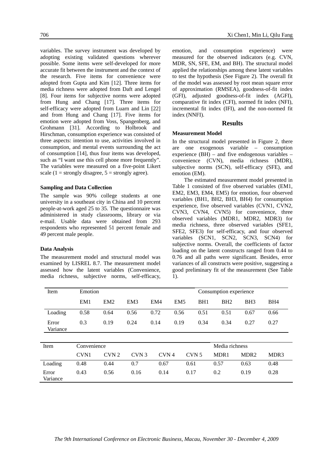variables. The survey instrument was developed by adopting existing validated questions wherever possible. Some items were self-developed for more accurate fit between the instrument and the context of the research. Five items for convenience were adopted from Gupta and Kim [12]. Three items for media richness were adopted from Daft and Lengel [8]. Four items for subjective norms were adopted from Hung and Chang [17]. Three items for self-efficacy were adopted from Luarn and Lin [22] and from Hung and Chang [17]. Five items for emotion were adopted from Voss, Spangenberg, and Grohmann [31]. According to Holbrook and Hirschman, consumption experience was consisted of three aspects: intention to use, activities involved in consumption, and mental events surrounding the act of consumption [14], thus four items was developed, such as "I want use this cell phone more frequently".

## **Sampling and Data Collection**

The sample was 90% college students at one university in a southeast city in China and 10 percent people-at-work aged 25 to 35. The questionnaire was administered in study classrooms, library or via e-mail. Usable data were obtained from 293 respondents who represented 51 percent female and 49 percent male people.

The variables were measured on a five-point Likert scale (1 = strongly disagree,  $5$  = strongly agree).

#### **Data Analysis**

The measurement model and structural model was examined by LISREL 8.7. The measurement model assessed how the latent variables (Convenience, media richness, subjective norms, self-efficacy, emotion, and consumption experience) were measured for the observed indicators (e.g. CVN, MDR, SN, SFE, EM, and BH). The structural model applied the relationships among these latent variables to test the hypothesis (See Figure 2). The overall fit of the model was assessed by root mean square error of approximation (RMSEA), goodness-of-fit index (GFI), adjusted goodness-of-fit index (AGFI), comparative fit index (CFI), normed fit index (NFI), incremental fit index (IFI), and the non-normed fit index (NNFI).

#### **Results**

## **Measurement Model**

In the structural model presented in Figure 2, there are one exogenous variable – consumption experience (BH) – and five endogenous variables – convenience (CVN), media richness (MDR), subjective norms (SCN), self-efficacy (SFE), and emotion (EM).

The estimated measurement model presented in Table 1 consisted of five observed variables (EM1, EM2, EM3, EM4, EM5) for emotion, four observed variables (BH1, BH2, BH3, BH4) for consumption experience, five observed variables (CVN1, CVN2, CVN3, CVN4, CVN5) for convenience, three observed variables (MDR1, MDR2, MDR3) for media richness, three observed variables (SFE1, SFE2, SFE3) for self-efficacy, and four observed variables (SCN1, SCN2, SCN3, SCN4) for subjective norms. Overall, the coefficients of factor loading on the latent constructs ranged from 0.44 to 0.76 and all paths were significant. Besides, error variances of all constructs were positive, suggesting a good preliminary fit of the measurement (See Table 1).

| Item              | Emotion<br>Consumption experience |                  |                  |      |                 |                  |      |                  |                  |
|-------------------|-----------------------------------|------------------|------------------|------|-----------------|------------------|------|------------------|------------------|
|                   | EM1                               | EM <sub>2</sub>  | EM <sub>3</sub>  | EM4  | EM <sub>5</sub> | BH1              | BH2  | BH <sub>3</sub>  | BH <sub>4</sub>  |
| Loading           | 0.58                              | 0.64             | 0.56             | 0.72 | 0.56            | 0.51             | 0.51 | 0.67             | 0.66             |
| Error<br>Variance | 0.3                               | 0.19             | 0.24             | 0.14 | 0.19            | 0.34             | 0.34 | 0.27             | 0.27             |
|                   |                                   |                  |                  |      |                 |                  |      |                  |                  |
| Item              | Convenience                       |                  |                  |      | Media richness  |                  |      |                  |                  |
|                   | CVN1                              | CVN <sub>2</sub> | CVN <sub>3</sub> | CVN4 |                 | CVN <sub>5</sub> | MDR1 | MDR <sub>2</sub> | MDR <sub>3</sub> |
| Loading           | 0.48                              | 0.44             | 0.7              | 0.67 |                 | 0.61             | 0.57 | 0.63             | 0.48             |
| Error<br>Variance | 0.43                              | 0.56             | 0.16             | 0.14 |                 | 0.17             | 0.2  | 0.19             | 0.28             |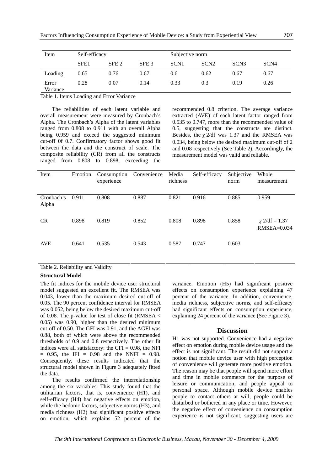| Item              | Self-efficacy    |                  |                  |                  | Subjective norm  |                  |                  |  |  |
|-------------------|------------------|------------------|------------------|------------------|------------------|------------------|------------------|--|--|
|                   | SFE <sub>1</sub> | SFE <sub>2</sub> | SFE <sub>3</sub> | SCN <sub>1</sub> | SCN <sub>2</sub> | SCN <sub>3</sub> | SCN <sub>4</sub> |  |  |
| Loading           | 0.65             | 0.76             | 0.67             | 0.6              | 0.62             | 0.67             | 0.67             |  |  |
| Error<br>Variance | 0.28             | 0.07             | 0.14             | 0.33             | 0.3              | 0.19             | 0.26             |  |  |

Table 1. Items Loading and Error Variance

The reliabilities of each latent variable and overall measurement were measured by Cronbach's Alpha. The Cronbach's Alpha of the latent variables ranged from 0.808 to 0.911 with an overall Alpha being 0.959 and exceed the suggested minimum cut-off 0f 0.7. Confirmatory factor shows good fit between the data and the construct of scale. The composite reliability (CR) from all the constructs ranged from 0.808 to 0.898, exceeding the

recommended 0.8 criterion. The average variance extracted (AVE) of each latent factor ranged from 0.535 to 0.747, more than the recommended value of 0.5, suggesting that the constructs are distinct. Besides, the  $\chi$  2/df was 1.37 and the RMSEA was 0.034, being below the desired maximum cut-off of 2 and 0.08 respectively (See Table 2). Accordingly, the measurement model was valid and reliable.

| Item                | Emotion | Consumption<br>experience | Convenience | Media<br>richness | Self-efficacy | Subjective<br>norm | Whole<br>measurement                |
|---------------------|---------|---------------------------|-------------|-------------------|---------------|--------------------|-------------------------------------|
| Cronbach's<br>Alpha | 0.911   | 0.808                     | 0.887       | 0.821             | 0.916         | 0.885              | 0.959                               |
| <b>CR</b>           | 0.898   | 0.819                     | 0.852       | 0.808             | 0.898         | 0.858              | $\chi$ 2/df = 1.37<br>$RMSEA=0.034$ |
| <b>AVE</b>          | 0.641   | 0.535                     | 0.543       | 0.587             | 0.747         | 0.603              |                                     |

## Table 2. Reliability and Validity

#### **Structural Model**

The fit indices for the mobile device user structural model suggested an excellent fit. The RMSEA was 0.043, lower than the maximum desired cut-off of 0.05. The 90 percent confidence interval for RMSEA was 0.052, being below the desired maximum cut-off of 0.08. The p-value for test of close fit (RMSEA  $\lt$ 0.05) was 0.90, higher than the desired minimum cut-off of 0.50. The GFI was 0.91, and the AGFI was 0.88, both of which were above the recommended thresholds of 0.9 and 0.8 respectively. The other fit indices were all satisfactory: the CFI =  $0.98$ , the NFI  $= 0.95$ , the IFI  $= 0.98$  and the NNFI  $= 0.98$ . Consequently, these results indicated that the structural model shown in Figure 3 adequately fitted the data.

The results confirmed the interrelationship among the six variables. This study found that the utilitarian factors, that is, convenience (H1), and self-efficacy (H4) had negative effects on emotion, while the hedonic factors, subjective norms (H3), and media richness (H2) had significant positive effects on emotion, which explains 52 percent of the variance. Emotion (H5) had significant positive effects on consumption experience explaining 47 percent of the variance. In addition, convenience, media richness, subjective norms, and self-efficacy had significant effects on consumption experience, explaining 24 percent of the variance (See Figure 3).

## **Discussion**

H1 was not supported. Convenience had a negative effect on emotion during mobile device usage and the effect is not significant. The result did not support a notion that mobile device user with high perception of convenience will generate more positive emotion. The reason may be that people will spend more effort and time in mobile commerce for the purpose of leisure or communication, and people appeal to personal space. Although mobile device enables people to contact others at will, people could be disturbed or bothered in any place or time. However, the negative effect of convenience on consumption experience is not significant, suggesting users are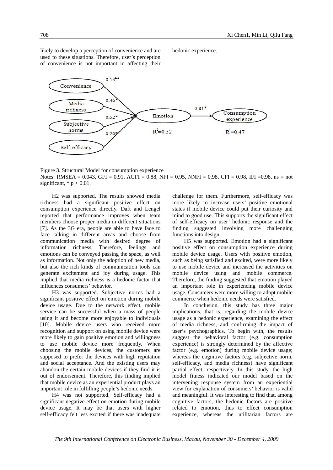$-0.13$ <sup>ns</sup> Convenience  $0.46$ Media  $0.81*$ richness Consumption Emotion  $0.52*$ experience Subjective norms  $R^2 = 0.52$  $R^2 = 0.47$  $-0.203$ Self-efficacy

likely to develop a perception of convenience and are used to these situations. Therefore, user's perception of convenience is not important in affecting their

hedonic experience.

Figure 3. Structural Model for consumption experience Notes: RMSEA =  $0.043$ , GFI =  $0.91$ , AGFI =  $0.88$ , NFI =  $0.95$ , NNFI =  $0.98$ , CFI =  $0.98$ , IFI =  $0.98$ , ns = not significant,  $* p < 0.01$ .

H2 was supported. The results showed media richness had a significant positive effect on consumption experience directly. Daft and Lengel reported that performance improves when team members choose proper media in different situations [7]. As the 3G era, people are able to have face to face talking in different areas and choose from communication media with desired degree of information richness. Therefore, feelings and emotions can be conveyed passing the space, as well as information. Not only the adoption of new media, but also the rich kinds of communication tools can generate excitement and joy during usage. This implied that media richness is a hedonic factor that influences consumers' behavior.

H3 was supported. Subjective norms had a significant positive effect on emotion during mobile device usage. Due to the network effect, mobile service can be successful when a mass of people using it and become more enjoyable to individuals [10]. Mobile device users who received more recognition and support on using mobile device were more likely to gain positive emotion and willingness to use mobile device more frequently. When choosing the mobile devices, the customers are supposed to prefer the devices with high reputation and social acceptance. And the existing users may abandon the certain mobile devices if they find it is out of endorsement. Therefore, this finding implied that mobile device as an experiential product plays an important role in fulfilling people's hedonic needs.

H4 was not supported. Self-efficacy had a significant negative effect on emotion during mobile device usage. It may be that users with higher self-efficacy felt less excited if there was inadequate

challenge for them. Furthermore, self-efficacy was more likely to increase users' positive emotional states if mobile device could put their curiosity and mind to good use. This supports the significant effect of self-efficacy on user' hedonic response and the finding suggested involving more challenging functions into design.

H5 was supported. Emotion had a significant positive effect on consumption experience during mobile device usage. Users with positive emotion, such as being satisfied and excited, were more likely to use mobile device and increased the activities on mobile device using and mobile commerce. Therefore, the finding suggested that emotion played an important role in experiencing mobile device usage. Consumers were more willing to adopt mobile commerce when hedonic needs were satisfied.

In conclusion, this study has three major implications, that is, regarding the mobile device usage as a hedonic experience, examining the effect of media richness, and confirming the impact of user's psychographics. To begin with, the results suggest the behavioral factor (e.g. consumption experience) is strongly determined by the affective factor (e.g. emotion) during mobile device usage; whereas the cognitive factors (e.g. subjective norm, self-efficacy, and media richness) have significant partial effect, respectively. In this study, the high model fitness indicated our model based on the intervening response system from an experiential view for explanation of consumers' behavior is valid and meaningful. It was interesting to find that, among cognitive factors, the hedonic factors are positive related to emotion, thus to effect consumption experience, whereas the utilitarian factors are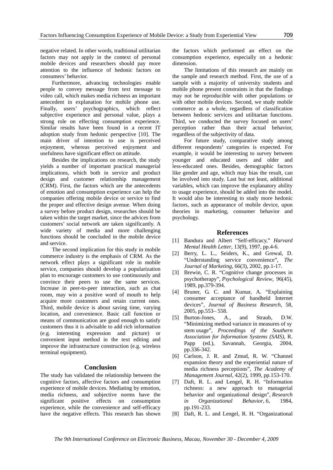negative related. In other words, traditional utilitarian factors may not apply in the context of personal mobile devices and researchers should pay more attention to the influence of hedonic factors on consumers' behavior.

Furthermore, advancing technologies enable people to convey message from text message to video call, which makes media richness an important antecedent in explanation for mobile phone use. Finally, users' psychographics, which reflect subjective experience and personal value, plays a strong role on effecting consumption experience. Similar results have been found in a recent IT adoption study from hedonic perspective [10]. The main driver of intention to use is perceived enjoyment, whereas perceived enjoyment and usefulness have significant effect on attitude.

Besides the implications on research, the study yields a number of important practical managerial implications, which both in service and product design and customer relationship management (CRM). First, the factors which are the antecedents of emotion and consumption experience can help the companies offering mobile device or service to find the proper and effective design avenue. When doing a survey before product design, researches should be taken within the target market, since the advices from customers' social network are taken significantly. A wide variety of media and more challenging functions should be concluded in the mobile device and service.

The second implication for this study in mobile commerce industry is the emphasis of CRM. As the network effect plays a significant role in mobile service, companies should develop a popularization plan to encourage customers to use continuously and convince their peers to use the same services. Increase in peer-to-peer interaction, such as chat room, may win a positive word of mouth to help acquire more customers and retain current ones. Third, mobile device is about saving time, varying location, and convenience. Basic call function or means of communication are good enough to satisfy customers thus it is advisable to add rich information (e.g. interesting expression and picture) or convenient input method in the text editing and improve the infrastructure construction (e.g. wireless terminal equipment).

## **Conclusion**

The study has validated the relationship between the cognitive factors, affective factors and consumption experience of mobile devices. Mediating by emotion, media richness, and subjective norms have the significant positive effects on consumption experience, while the convenience and self-efficacy have the negative effects. This research has shown the factors which performed an effect on the consumption experience, especially on a hedonic dimension.

The limitations of this research are mainly on the sample and research method. First, the use of a sample with a majority of university students and mobile phone present constraints in that the findings may not be reproducible with other populations or with other mobile devices. Second, we study mobile commerce as a whole, regardless of classification between hedonic services and utilitarian functions. Third, we conducted the survey focused on users' perception rather than their actual behavior, regardless of the subjectivity of data.

For future study, comparative study among different respondents' categories is expected. For example, it would be interesting to survey between younger and educated users and older and less-educated ones. Besides, demographic factors like gender and age, which may bias the result, can be involved into study. Last but not least, additional variables, which can improve the explanatory ability to usage experience, should be added into the model. It would also be interesting to study more hedonic factors, such as appearance of mobile device, upon theories in marketing, consumer behavior and psychology.

## **References**

- [1] Bandura and Albert "Self-efficacy," *Harvard Mental Health Letter*, 13(9), 1997, pp.4-6.
- [2] Berry, L. L., Seiders, K., and Grewal, D. "Understanding service convenience", *The Journal of Marketing*, 66(3), 2002, pp.1-17.
- [3] Brewin, C. R. "Cognitive change processes in psychotherapy", *Psychological Review*, 96(45), 1989, pp.379-394.
- [4] Bruner, G. C. and Kumar, A. "Explaining consumer acceptance of handheld Internet devices", *Journal of Business Research*, 58, 2005, pp.553– 558.
- [5] Burton-Jones, A., and Straub, D.W. "Minimizing method variance in measures of sy stem usage", *Proceedings of the Southern Association for Information Systems (SAIS)*, R. Papp (ed.), Savannah, Georgia, 2004, pp.336-342.
- [6] Carlson, J. R. and Zmud, R. W. "Channel expansion theory and the experiential nature of media richness perceptions", *The Academy of Management Journal*, 42(2), 1999, pp.153-170.
- [7] Daft, R. L. and Lengel, R. H. "Information richness: a new approach to managerial behavior and organizational design", *Research in Organizational Behavior*, 6, 1984, pp.191-233.
- [8] Daft, R. L. and Lengel, R. H. "Organizational